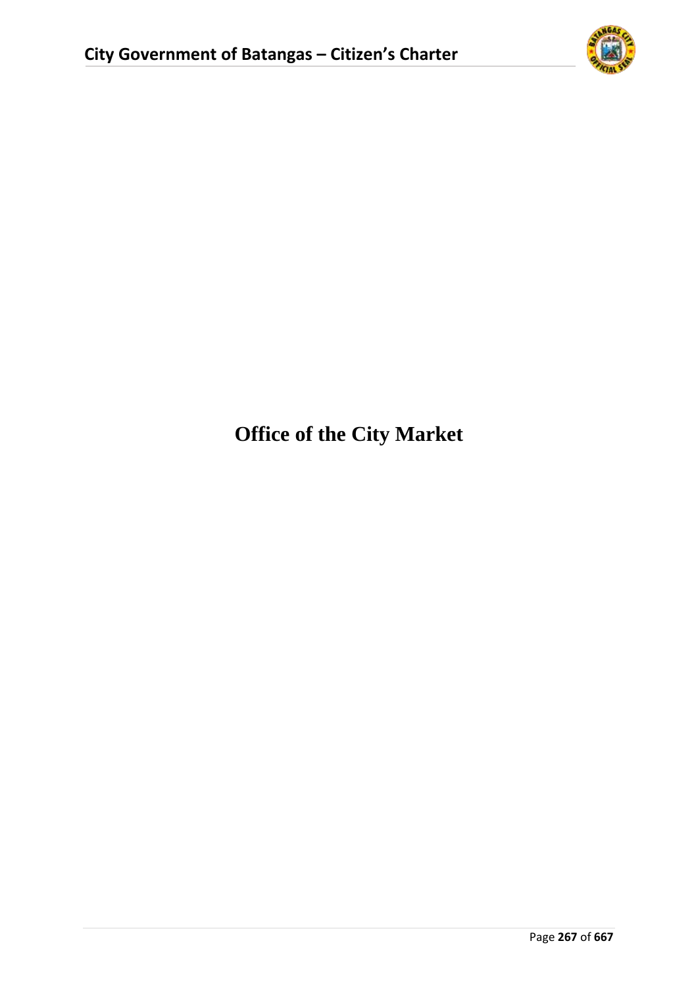

# **Office of the City Market**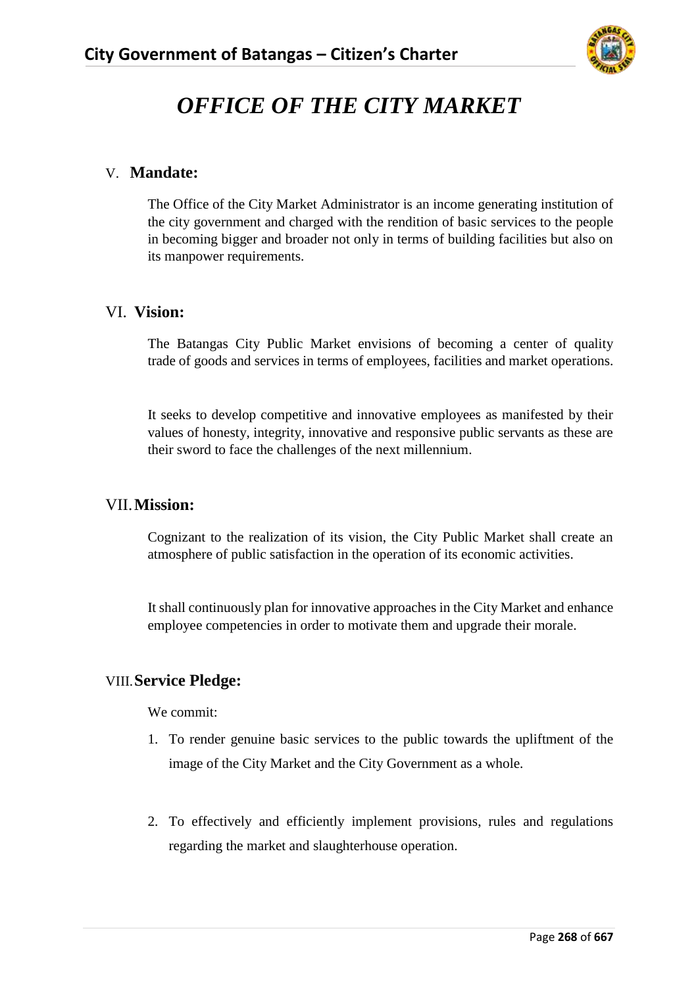

# *OFFICE OF THE CITY MARKET*

#### V. **Mandate:**

The Office of the City Market Administrator is an income generating institution of the city government and charged with the rendition of basic services to the people in becoming bigger and broader not only in terms of building facilities but also on its manpower requirements.

#### VI. **Vision:**

The Batangas City Public Market envisions of becoming a center of quality trade of goods and services in terms of employees, facilities and market operations.

It seeks to develop competitive and innovative employees as manifested by their values of honesty, integrity, innovative and responsive public servants as these are their sword to face the challenges of the next millennium.

#### VII.**Mission:**

Cognizant to the realization of its vision, the City Public Market shall create an atmosphere of public satisfaction in the operation of its economic activities.

It shall continuously plan for innovative approaches in the City Market and enhance employee competencies in order to motivate them and upgrade their morale.

#### VIII.**Service Pledge:**

We commit:

- 1. To render genuine basic services to the public towards the upliftment of the image of the City Market and the City Government as a whole.
- 2. To effectively and efficiently implement provisions, rules and regulations regarding the market and slaughterhouse operation.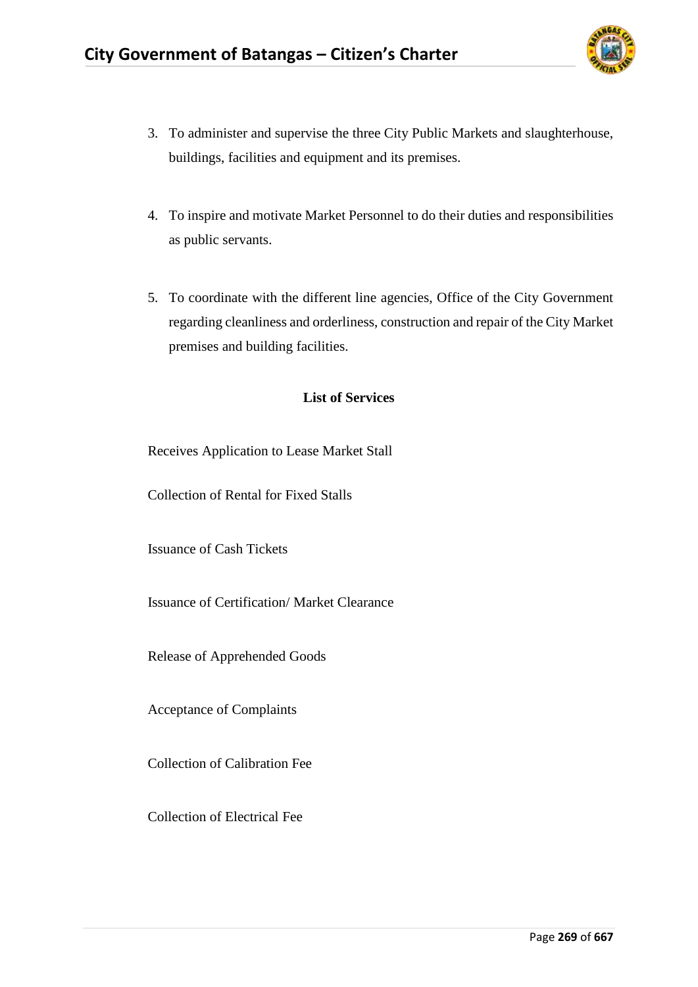

- 3. To administer and supervise the three City Public Markets and slaughterhouse, buildings, facilities and equipment and its premises.
- 4. To inspire and motivate Market Personnel to do their duties and responsibilities as public servants.
- 5. To coordinate with the different line agencies, Office of the City Government regarding cleanliness and orderliness, construction and repair of the City Market premises and building facilities.

#### **List of Services**

Receives Application to Lease Market Stall

Collection of Rental for Fixed Stalls

Issuance of Cash Tickets

Issuance of Certification/ Market Clearance

Release of Apprehended Goods

Acceptance of Complaints

Collection of Calibration Fee

Collection of Electrical Fee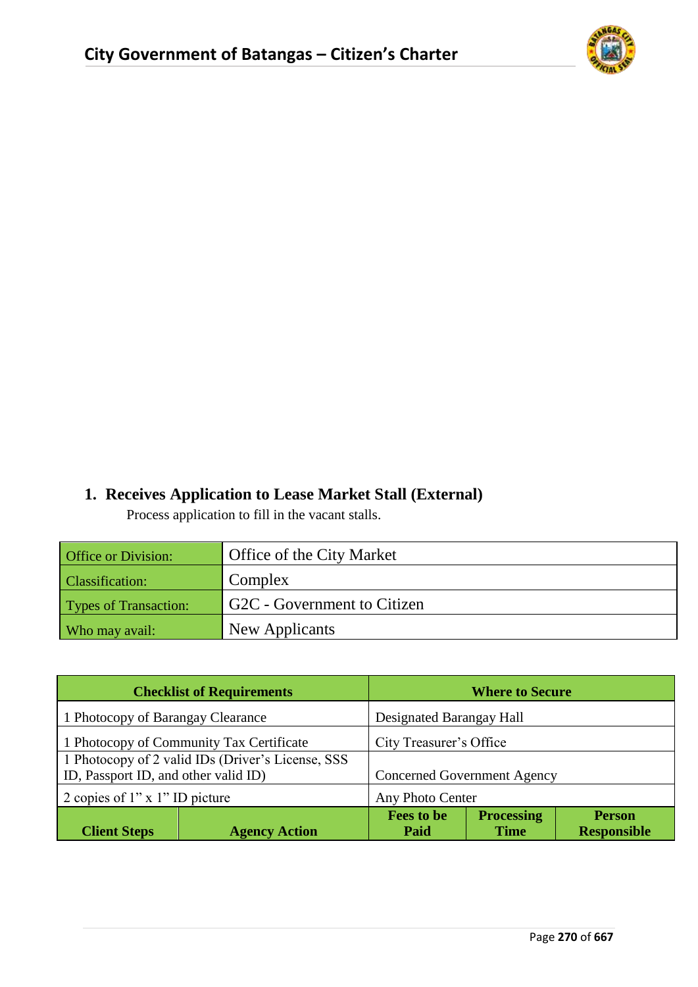

## **1. Receives Application to Lease Market Stall (External)**

Process application to fill in the vacant stalls.

| <b>Office or Division:</b>   | Office of the City Market   |
|------------------------------|-----------------------------|
| <b>Classification:</b>       | Complex                     |
| <b>Types of Transaction:</b> | G2C - Government to Citizen |
| Who may avail:               | New Applicants              |

| <b>Checklist of Requirements</b>                   |                      | <b>Where to Secure</b>                                  |             |                    |
|----------------------------------------------------|----------------------|---------------------------------------------------------|-------------|--------------------|
| 1 Photocopy of Barangay Clearance                  |                      | Designated Barangay Hall                                |             |                    |
| 1 Photocopy of Community Tax Certificate           |                      | City Treasurer's Office                                 |             |                    |
| 1 Photocopy of 2 valid IDs (Driver's License, SSS) |                      |                                                         |             |                    |
| ID, Passport ID, and other valid ID)               |                      | <b>Concerned Government Agency</b>                      |             |                    |
| 2 copies of $1"$ x $1"$ ID picture                 |                      | Any Photo Center                                        |             |                    |
|                                                    |                      | <b>Fees to be</b><br><b>Processing</b><br><b>Person</b> |             |                    |
| <b>Client Steps</b>                                | <b>Agency Action</b> | Paid                                                    | <b>Time</b> | <b>Responsible</b> |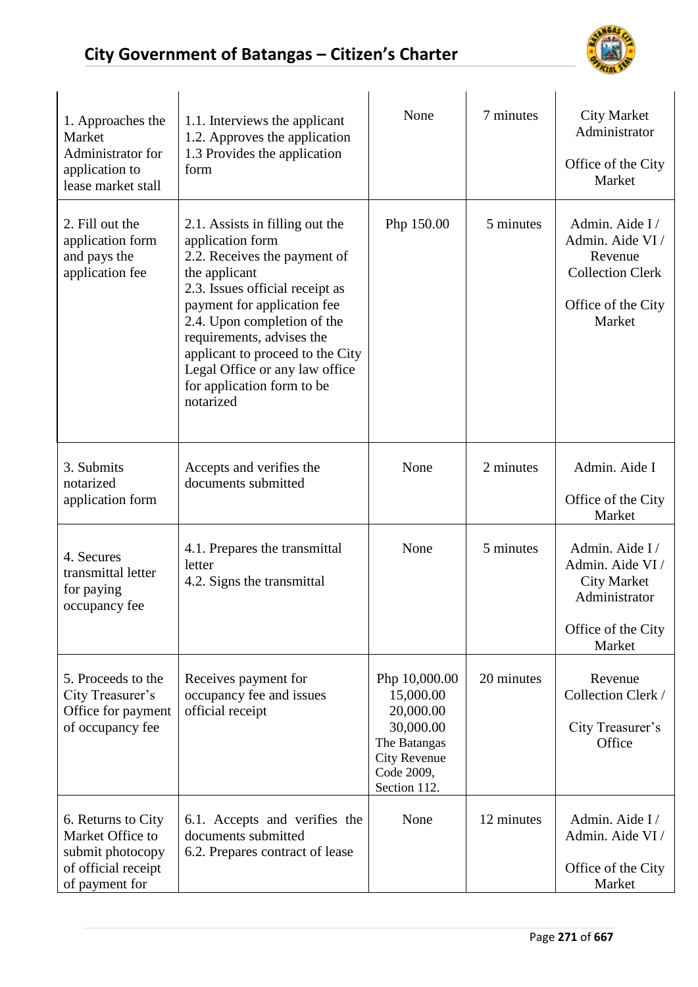

| 1. Approaches the<br>Market<br>Administrator for<br>application to<br>lease market stall            | 1.1. Interviews the applicant<br>1.2. Approves the application<br>1.3 Provides the application<br>form                                                                                                                                                                                                                                              | None                                                                                                                      | 7 minutes  | <b>City Market</b><br>Administrator<br>Office of the City<br>Market                                       |
|-----------------------------------------------------------------------------------------------------|-----------------------------------------------------------------------------------------------------------------------------------------------------------------------------------------------------------------------------------------------------------------------------------------------------------------------------------------------------|---------------------------------------------------------------------------------------------------------------------------|------------|-----------------------------------------------------------------------------------------------------------|
| 2. Fill out the<br>application form<br>and pays the<br>application fee                              | 2.1. Assists in filling out the<br>application form<br>2.2. Receives the payment of<br>the applicant<br>2.3. Issues official receipt as<br>payment for application fee<br>2.4. Upon completion of the<br>requirements, advises the<br>applicant to proceed to the City<br>Legal Office or any law office<br>for application form to be<br>notarized | Php 150.00                                                                                                                | 5 minutes  | Admin. Aide I/<br>Admin. Aide VI /<br>Revenue<br><b>Collection Clerk</b><br>Office of the City<br>Market  |
| 3. Submits<br>notarized<br>application form                                                         | Accepts and verifies the<br>documents submitted                                                                                                                                                                                                                                                                                                     | None                                                                                                                      | 2 minutes  | Admin. Aide I<br>Office of the City<br>Market                                                             |
| 4. Secures<br>transmittal letter<br>for paying<br>occupancy fee                                     | 4.1. Prepares the transmittal<br>letter<br>4.2. Signs the transmittal                                                                                                                                                                                                                                                                               | None                                                                                                                      | 5 minutes  | Admin. Aide I/<br>Admin. Aide VI /<br><b>City Market</b><br>Administrator<br>Office of the City<br>Market |
| 5. Proceeds to the<br>City Treasurer's<br>Office for payment<br>of occupancy fee                    | Receives payment for<br>occupancy fee and issues<br>official receipt                                                                                                                                                                                                                                                                                | Php 10,000.00<br>15,000.00<br>20,000.00<br>30,000.00<br>The Batangas<br><b>City Revenue</b><br>Code 2009,<br>Section 112. | 20 minutes | Revenue<br>Collection Clerk /<br>City Treasurer's<br>Office                                               |
| 6. Returns to City<br>Market Office to<br>submit photocopy<br>of official receipt<br>of payment for | 6.1. Accepts and verifies the<br>documents submitted<br>6.2. Prepares contract of lease                                                                                                                                                                                                                                                             | None                                                                                                                      | 12 minutes | Admin. Aide I/<br>Admin. Aide VI /<br>Office of the City<br>Market                                        |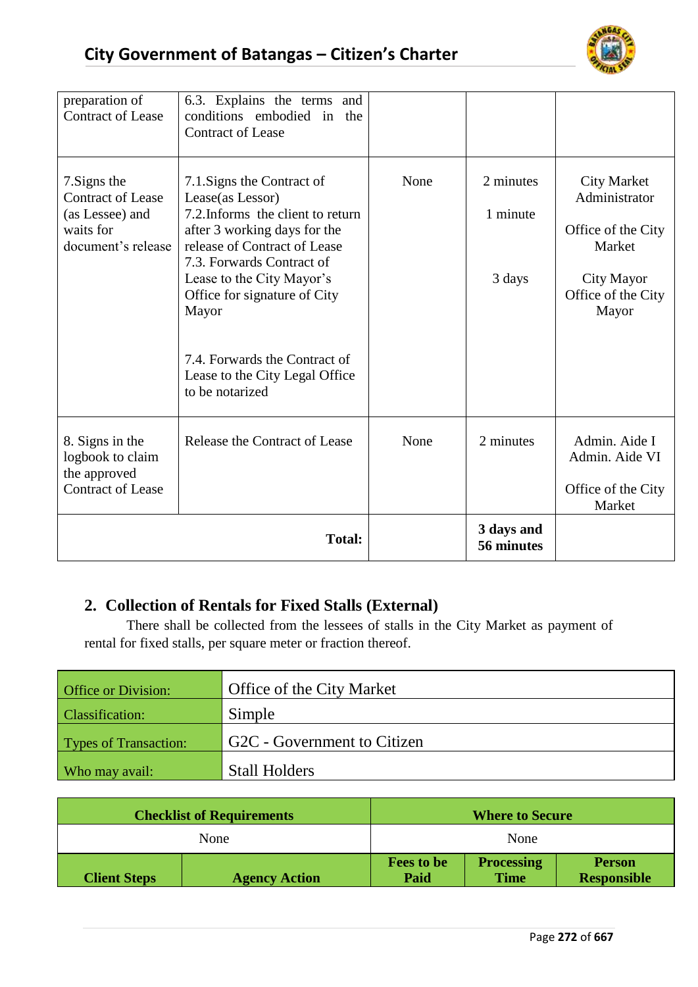

| preparation of<br><b>Contract of Lease</b>                                                     | 6.3. Explains the terms<br>and<br>conditions embodied in<br>the<br><b>Contract of Lease</b>                                                                                                                                                                                                                                                  |      |                                 |                                                                                                                  |
|------------------------------------------------------------------------------------------------|----------------------------------------------------------------------------------------------------------------------------------------------------------------------------------------------------------------------------------------------------------------------------------------------------------------------------------------------|------|---------------------------------|------------------------------------------------------------------------------------------------------------------|
| 7. Signs the<br><b>Contract of Lease</b><br>(as Lessee) and<br>waits for<br>document's release | 7.1. Signs the Contract of<br>Lease(as Lessor)<br>7.2. Informs the client to return<br>after 3 working days for the<br>release of Contract of Lease<br>7.3. Forwards Contract of<br>Lease to the City Mayor's<br>Office for signature of City<br>Mayor<br>7.4. Forwards the Contract of<br>Lease to the City Legal Office<br>to be notarized | None | 2 minutes<br>1 minute<br>3 days | <b>City Market</b><br>Administrator<br>Office of the City<br>Market<br>City Mayor<br>Office of the City<br>Mayor |
| 8. Signs in the<br>logbook to claim<br>the approved<br><b>Contract of Lease</b>                | Release the Contract of Lease                                                                                                                                                                                                                                                                                                                | None | 2 minutes                       | Admin. Aide I<br>Admin. Aide VI<br>Office of the City<br>Market                                                  |
| <b>Total:</b>                                                                                  |                                                                                                                                                                                                                                                                                                                                              |      | 3 days and<br>56 minutes        |                                                                                                                  |

## **2. Collection of Rentals for Fixed Stalls (External)**

There shall be collected from the lessees of stalls in the City Market as payment of rental for fixed stalls, per square meter or fraction thereof.

| <b>Office or Division:</b>   | Office of the City Market   |
|------------------------------|-----------------------------|
| <b>Classification:</b>       | Simple                      |
| <b>Types of Transaction:</b> | G2C - Government to Citizen |
| Who may avail:               | <b>Stall Holders</b>        |

| <b>Checklist of Requirements</b> |                      |                                                                                                      | <b>Where to Secure</b> |  |
|----------------------------------|----------------------|------------------------------------------------------------------------------------------------------|------------------------|--|
| None                             |                      | None                                                                                                 |                        |  |
| <b>Client Steps</b>              | <b>Agency Action</b> | <b>Processing</b><br><b>Fees to be</b><br><b>Person</b><br><b>Time</b><br>Paid<br><b>Responsible</b> |                        |  |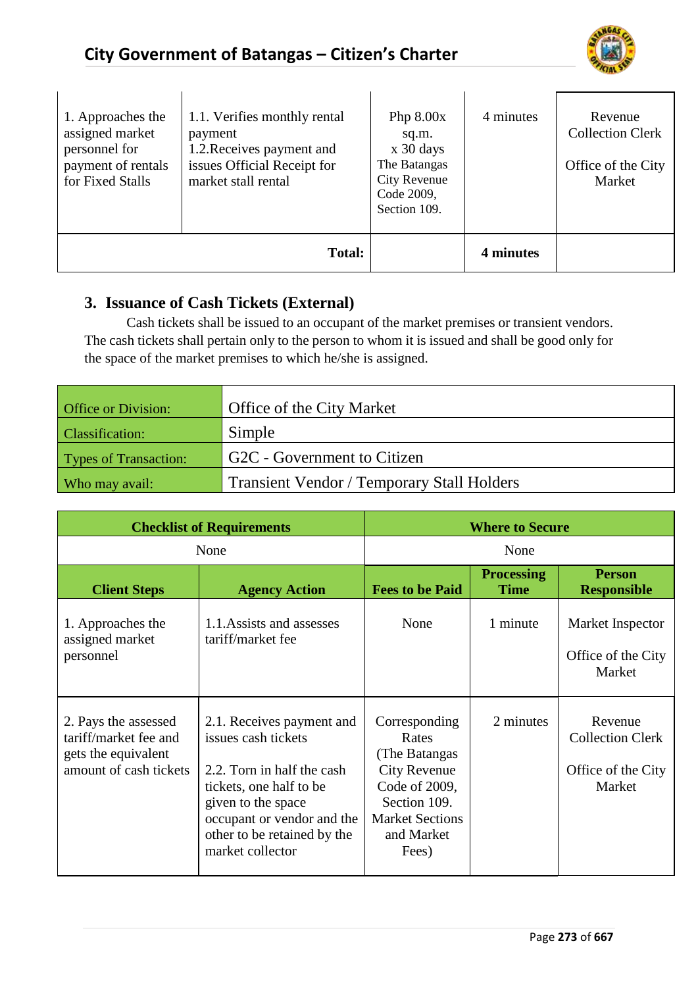

| 1. Approaches the<br>assigned market<br>personnel for<br>payment of rentals<br>for Fixed Stalls | 1.1. Verifies monthly rental<br>payment<br>1.2. Receives payment and<br>issues Official Receipt for<br>market stall rental | Php $8.00x$<br>sq.m.<br>$x$ 30 days<br>The Batangas<br><b>City Revenue</b><br>Code 2009,<br>Section 109. | 4 minutes | Revenue<br><b>Collection Clerk</b><br>Office of the City<br>Market |
|-------------------------------------------------------------------------------------------------|----------------------------------------------------------------------------------------------------------------------------|----------------------------------------------------------------------------------------------------------|-----------|--------------------------------------------------------------------|
|                                                                                                 | <b>Total:</b>                                                                                                              |                                                                                                          | 4 minutes |                                                                    |

### **3. Issuance of Cash Tickets (External)**

 $\overline{\phantom{a}}$ 

Cash tickets shall be issued to an occupant of the market premises or transient vendors. The cash tickets shall pertain only to the person to whom it is issued and shall be good only for the space of the market premises to which he/she is assigned.

| <b>Office or Division:</b> | Office of the City Market                         |
|----------------------------|---------------------------------------------------|
| <b>Classification:</b>     | Simple                                            |
| Types of Transaction:      | G2C - Government to Citizen                       |
| Who may avail:             | <b>Transient Vendor / Temporary Stall Holders</b> |

| <b>Checklist of Requirements</b>                                                               |                                                                                                                                                                                                                  |                                                                                                                                                  | <b>Where to Secure</b>           |                                                                    |
|------------------------------------------------------------------------------------------------|------------------------------------------------------------------------------------------------------------------------------------------------------------------------------------------------------------------|--------------------------------------------------------------------------------------------------------------------------------------------------|----------------------------------|--------------------------------------------------------------------|
|                                                                                                | None                                                                                                                                                                                                             | None                                                                                                                                             |                                  |                                                                    |
| <b>Client Steps</b>                                                                            | <b>Agency Action</b>                                                                                                                                                                                             | <b>Fees to be Paid</b>                                                                                                                           | <b>Processing</b><br><b>Time</b> | <b>Person</b><br><b>Responsible</b>                                |
| 1. Approaches the<br>assigned market<br>personnel                                              | 1.1. Assists and assesses<br>tariff/market fee                                                                                                                                                                   | None                                                                                                                                             | 1 minute                         | Market Inspector<br>Office of the City<br>Market                   |
| 2. Pays the assessed<br>tariff/market fee and<br>gets the equivalent<br>amount of cash tickets | 2.1. Receives payment and<br>issues cash tickets<br>2.2. Torn in half the cash<br>tickets, one half to be<br>given to the space<br>occupant or vendor and the<br>other to be retained by the<br>market collector | Corresponding<br>Rates<br>(The Batangas<br><b>City Revenue</b><br>Code of 2009,<br>Section 109.<br><b>Market Sections</b><br>and Market<br>Fees) | 2 minutes                        | Revenue<br><b>Collection Clerk</b><br>Office of the City<br>Market |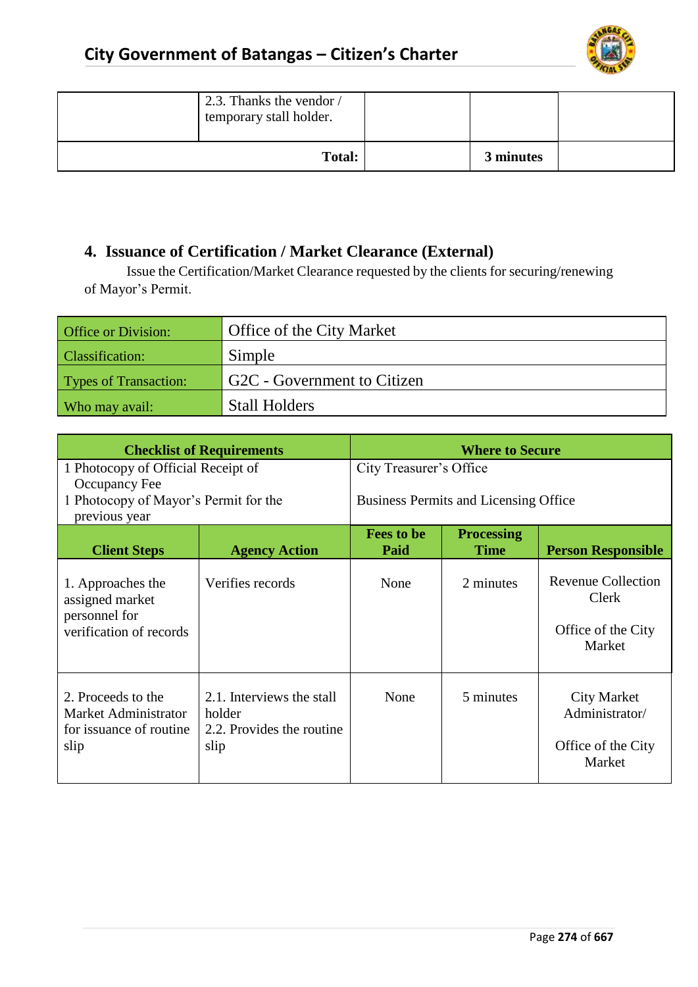

| 2.3. Thanks the vendor /<br>temporary stall holder. |           |  |
|-----------------------------------------------------|-----------|--|
| <b>Total:</b>                                       | 3 minutes |  |

#### **4. Issuance of Certification / Market Clearance (External)**

Issue the Certification/Market Clearance requested by the clients for securing/renewing of Mayor's Permit.

| Office or Division:          | Office of the City Market   |
|------------------------------|-----------------------------|
| <b>Classification:</b>       | Simple                      |
| <b>Types of Transaction:</b> | G2C - Government to Citizen |
| Who may avail:               | <b>Stall Holders</b>        |

| <b>Checklist of Requirements</b>                                                 |                                                                          | <b>Where to Secure</b>                                                                     |                         |                                                                           |  |
|----------------------------------------------------------------------------------|--------------------------------------------------------------------------|--------------------------------------------------------------------------------------------|-------------------------|---------------------------------------------------------------------------|--|
| 1 Photocopy of Official Receipt of                                               |                                                                          |                                                                                            | City Treasurer's Office |                                                                           |  |
| Occupancy Fee<br>1 Photocopy of Mayor's Permit for the<br>previous year          |                                                                          | <b>Business Permits and Licensing Office</b>                                               |                         |                                                                           |  |
| <b>Client Steps</b>                                                              | <b>Agency Action</b>                                                     | <b>Fees to be</b><br><b>Processing</b><br><b>Time</b><br>Paid<br><b>Person Responsible</b> |                         |                                                                           |  |
| 1. Approaches the<br>assigned market<br>personnel for<br>verification of records | Verifies records                                                         | None                                                                                       | 2 minutes               | <b>Revenue Collection</b><br><b>Clerk</b><br>Office of the City<br>Market |  |
| 2. Proceeds to the<br>Market Administrator<br>for issuance of routine.<br>slip   | 2.1. Interviews the stall<br>holder<br>2.2. Provides the routine<br>slip | None                                                                                       | 5 minutes               | <b>City Market</b><br>Administrator/<br>Office of the City<br>Market      |  |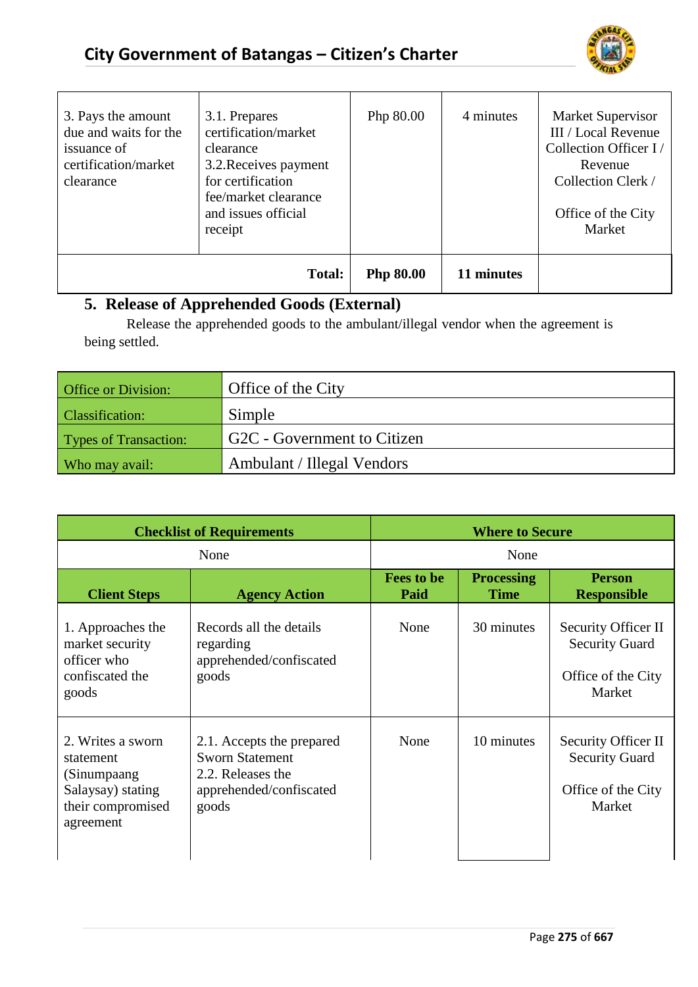

| 3. Pays the amount<br>due and waits for the<br>issuance of<br>certification/market<br>clearance | 3.1. Prepares<br>certification/market<br>clearance<br>3.2. Receives payment<br>for certification<br>fee/market clearance<br>and issues official<br>receipt | Php 80.00        | 4 minutes  | Market Supervisor<br>III / Local Revenue<br>Collection Officer I/<br>Revenue<br>Collection Clerk /<br>Office of the City<br>Market |
|-------------------------------------------------------------------------------------------------|------------------------------------------------------------------------------------------------------------------------------------------------------------|------------------|------------|------------------------------------------------------------------------------------------------------------------------------------|
|                                                                                                 | Total:                                                                                                                                                     | <b>Php 80.00</b> | 11 minutes |                                                                                                                                    |

## **5. Release of Apprehended Goods (External)**

Release the apprehended goods to the ambulant/illegal vendor when the agreement is being settled.

| <b>Office or Division:</b> | Office of the City          |
|----------------------------|-----------------------------|
| <b>Classification:</b>     | Simple                      |
| Types of Transaction:      | G2C - Government to Citizen |
| Who may avail:             | Ambulant / Illegal Vendors  |

| <b>Checklist of Requirements</b>                                                                     |                                                                                                              | <b>Where to Secure</b>    |                                  |                                                                              |
|------------------------------------------------------------------------------------------------------|--------------------------------------------------------------------------------------------------------------|---------------------------|----------------------------------|------------------------------------------------------------------------------|
| None                                                                                                 |                                                                                                              | None                      |                                  |                                                                              |
| <b>Client Steps</b>                                                                                  | <b>Agency Action</b>                                                                                         | <b>Fees to be</b><br>Paid | <b>Processing</b><br><b>Time</b> | <b>Person</b><br><b>Responsible</b>                                          |
| 1. Approaches the<br>market security<br>officer who<br>confiscated the<br>goods                      | Records all the details<br>regarding<br>apprehended/confiscated<br>goods                                     | None                      | 30 minutes                       | Security Officer II<br><b>Security Guard</b><br>Office of the City<br>Market |
| 2. Writes a sworn<br>statement<br>(Sinumpaang<br>Salaysay) stating<br>their compromised<br>agreement | 2.1. Accepts the prepared<br><b>Sworn Statement</b><br>2.2. Releases the<br>apprehended/confiscated<br>goods | None                      | 10 minutes                       | Security Officer II<br><b>Security Guard</b><br>Office of the City<br>Market |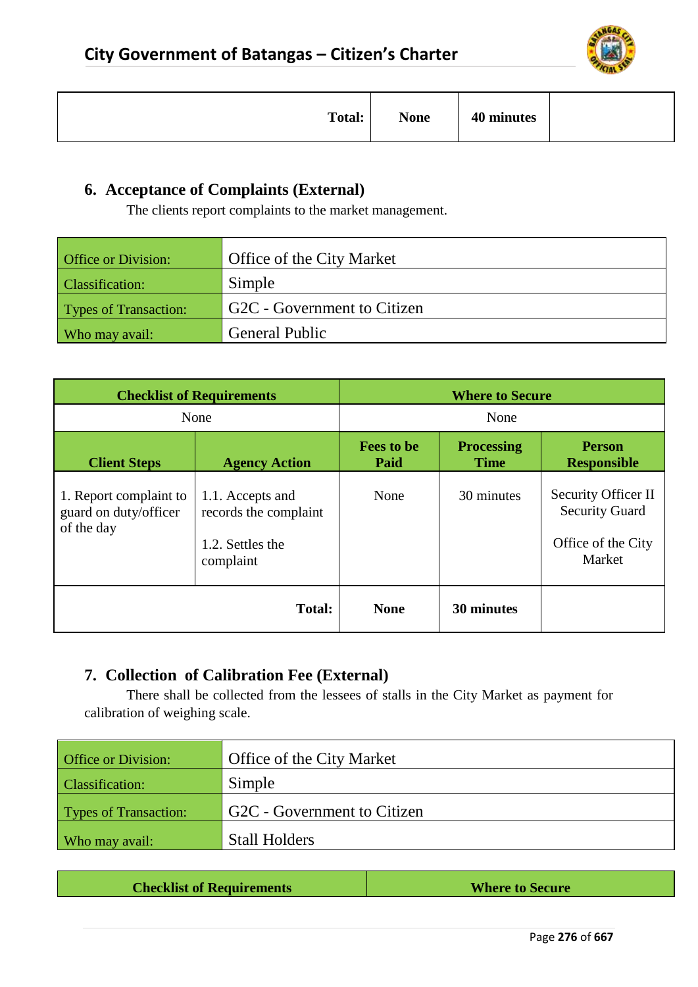

| <b>Total:</b> | <b>None</b> | 40 minutes |  |
|---------------|-------------|------------|--|
|---------------|-------------|------------|--|

## **6. Acceptance of Complaints (External)**

The clients report complaints to the market management.

| <b>Office or Division:</b> | <b>Office of the City Market</b> |
|----------------------------|----------------------------------|
| <b>Classification:</b>     | Simple                           |
| Types of Transaction:      | G2C - Government to Citizen      |
| Who may avail:             | <b>General Public</b>            |

|                                                               | <b>Checklist of Requirements</b>                                           |                           | <b>Where to Secure</b>           |                                                                              |
|---------------------------------------------------------------|----------------------------------------------------------------------------|---------------------------|----------------------------------|------------------------------------------------------------------------------|
| None                                                          |                                                                            | None                      |                                  |                                                                              |
| <b>Client Steps</b>                                           | <b>Agency Action</b>                                                       | <b>Fees to be</b><br>Paid | <b>Processing</b><br><b>Time</b> | <b>Person</b><br><b>Responsible</b>                                          |
| 1. Report complaint to<br>guard on duty/officer<br>of the day | 1.1. Accepts and<br>records the complaint<br>1.2. Settles the<br>complaint | None                      | 30 minutes                       | Security Officer II<br><b>Security Guard</b><br>Office of the City<br>Market |
|                                                               | <b>Total:</b>                                                              | <b>None</b>               | 30 minutes                       |                                                                              |

## **7. Collection of Calibration Fee (External)**

There shall be collected from the lessees of stalls in the City Market as payment for calibration of weighing scale.

| <b>Office or Division:</b>   | Office of the City Market   |
|------------------------------|-----------------------------|
| <b>Classification:</b>       | Simple                      |
| <b>Types of Transaction:</b> | G2C - Government to Citizen |
| Who may avail:               | <b>Stall Holders</b>        |

| <b>Checklist of Requirements</b><br><b>Where to Secure</b> |  |  |
|------------------------------------------------------------|--|--|
|------------------------------------------------------------|--|--|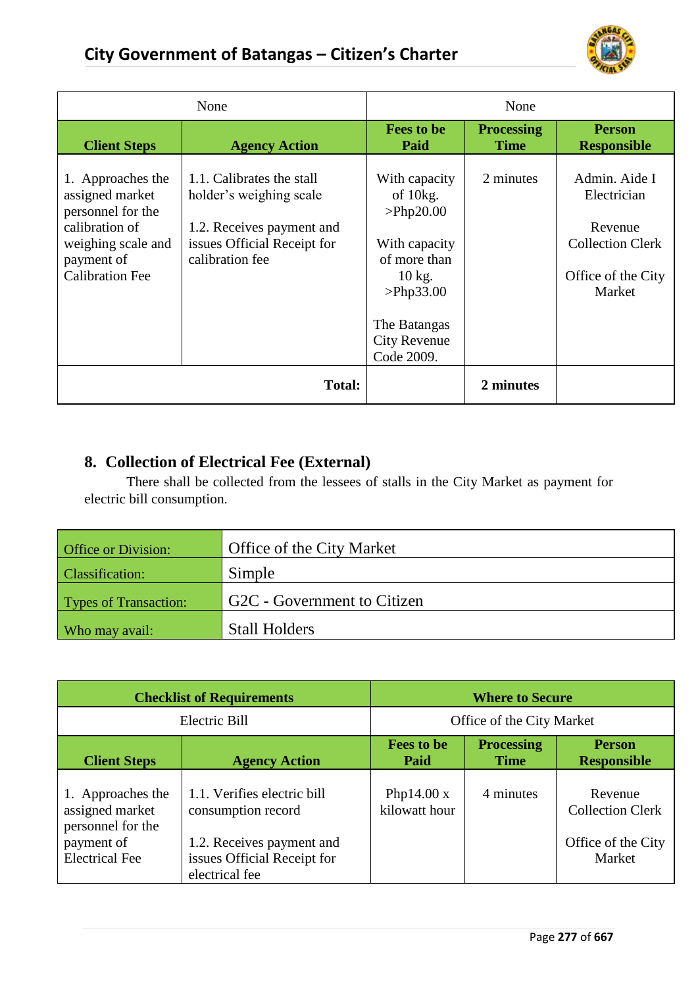

| None                                                                                                                                      |                                                                                                                                     | None                                                                                                                                                     |                                  |                                                                                                    |
|-------------------------------------------------------------------------------------------------------------------------------------------|-------------------------------------------------------------------------------------------------------------------------------------|----------------------------------------------------------------------------------------------------------------------------------------------------------|----------------------------------|----------------------------------------------------------------------------------------------------|
| <b>Client Steps</b>                                                                                                                       | <b>Agency Action</b>                                                                                                                | <b>Fees to be</b><br>Paid                                                                                                                                | <b>Processing</b><br><b>Time</b> | <b>Person</b><br><b>Responsible</b>                                                                |
| 1. Approaches the<br>assigned market<br>personnel for the<br>calibration of<br>weighing scale and<br>payment of<br><b>Calibration Fee</b> | 1.1. Calibrates the stall<br>holder's weighing scale<br>1.2. Receives payment and<br>issues Official Receipt for<br>calibration fee | With capacity<br>of $10kg$ .<br>>Php20.00<br>With capacity<br>of more than<br>$10$ kg.<br>>Php33.00<br>The Batangas<br><b>City Revenue</b><br>Code 2009. | 2 minutes                        | Admin. Aide I<br>Electrician<br>Revenue<br><b>Collection Clerk</b><br>Office of the City<br>Market |
| Total:                                                                                                                                    |                                                                                                                                     |                                                                                                                                                          | 2 minutes                        |                                                                                                    |

## **8. Collection of Electrical Fee (External)**

There shall be collected from the lessees of stalls in the City Market as payment for electric bill consumption.

| <b>Office or Division:</b>   | Office of the City Market   |
|------------------------------|-----------------------------|
| <b>Classification:</b>       | Simple                      |
| <b>Types of Transaction:</b> | G2C - Government to Citizen |
| Who may avail:               | <b>Stall Holders</b>        |

| <b>Checklist of Requirements</b>                                                                 |                                                                                                                                 | <b>Where to Secure</b>                                                         |           |                                                                    |
|--------------------------------------------------------------------------------------------------|---------------------------------------------------------------------------------------------------------------------------------|--------------------------------------------------------------------------------|-----------|--------------------------------------------------------------------|
| Electric Bill                                                                                    |                                                                                                                                 | Office of the City Market                                                      |           |                                                                    |
| <b>Client Steps</b>                                                                              | <b>Agency Action</b>                                                                                                            | <b>Processing</b><br><b>Fees to be</b><br><b>Person</b><br><b>Time</b><br>Paid |           | <b>Responsible</b>                                                 |
| 1. Approaches the<br>assigned market<br>personnel for the<br>payment of<br><b>Electrical Fee</b> | 1.1. Verifies electric bill<br>consumption record<br>1.2. Receives payment and<br>issues Official Receipt for<br>electrical fee | Php14.00 $x$<br>kilowatt hour                                                  | 4 minutes | Revenue<br><b>Collection Clerk</b><br>Office of the City<br>Market |